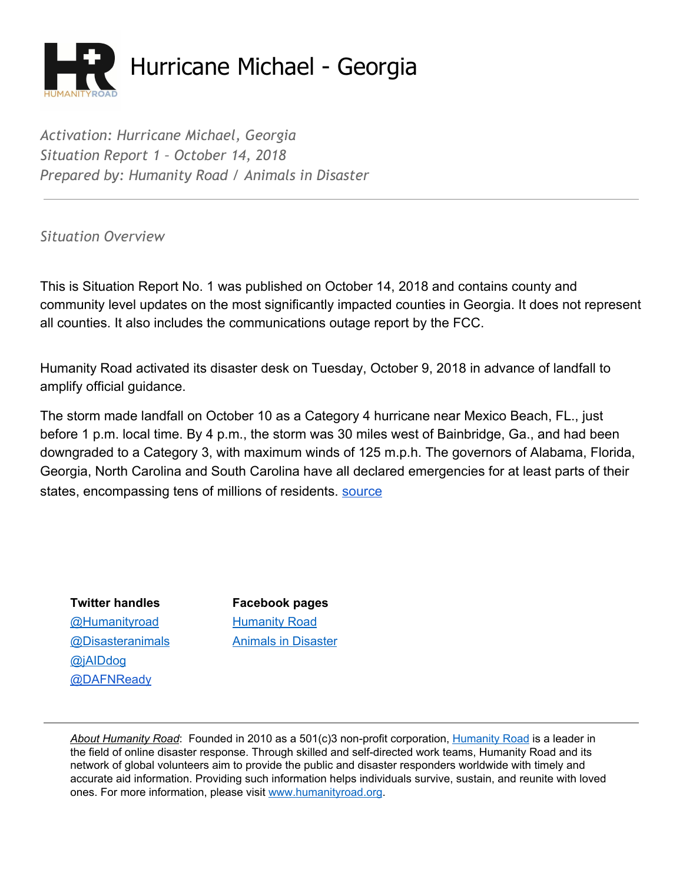

*Activation: Hurricane Michael, Georgia Situation Report 1 – October 14, 2018 Prepared by: Humanity Road / Animals in Disaster*

*Situation Overview*

This is Situation Report No. 1 was published on October 14, 2018 and contains county and community level updates on the most significantly impacted counties in Georgia. It does not represent all counties. It also includes the communications outage report by the FCC.

Humanity Road activated its disaster desk on Tuesday, October 9, 2018 in advance of landfall to amplify official guidance.

The storm made landfall on October 10 as a Category 4 hurricane near Mexico Beach, FL., just before 1 p.m. local time. By 4 p.m., the storm was 30 miles west of Bainbridge, Ga., and had been downgraded to a Category 3, with maximum winds of 125 m.p.h. The governors of Alabama, Florida, Georgia, North Carolina and South Carolina have all declared emergencies for at least parts of their states, encompassing tens of millions of residents. [source](https://www.nytimes.com/2018/10/10/us/hurricane-michael-live-updates-florida.html)

**Twitter handles Facebook pages** [@Humanityroad](http://twitter.com/humanityroad) [Humanity](https://www.facebook.com/pages/Humanity-Road/111949498829253?ref=br_tf) Roa[d](https://www.facebook.com/pages/Humanity-Road/111949498829253?ref=br_tf) [@jAIDdog](http://twitter.com/jAIDdog) [@DAFNReady](https://twitter.com/DAFNReady)

[@Disasteranimals](http://twitter.com/disasteranimals) Animals in [Disaster](https://www.facebook.com/DisasterAnimals)

*About Humanity Road*: Founded in 2010 as a 501(c)3 non-profit corporation, [Humanity](http://www.humanityroad.org/AboutUs.htm) Road is a leader in the field of online disaster response. Through skilled and self-directed work teams, Humanity Road and its network of global volunteers aim to provide the public and disaster responders worldwide with timely and accurate aid information. Providing such information helps individuals survive, sustain, and reunite with loved ones. For more information, please visit [www.humanityroad.org](http://www.humanityroad.org/).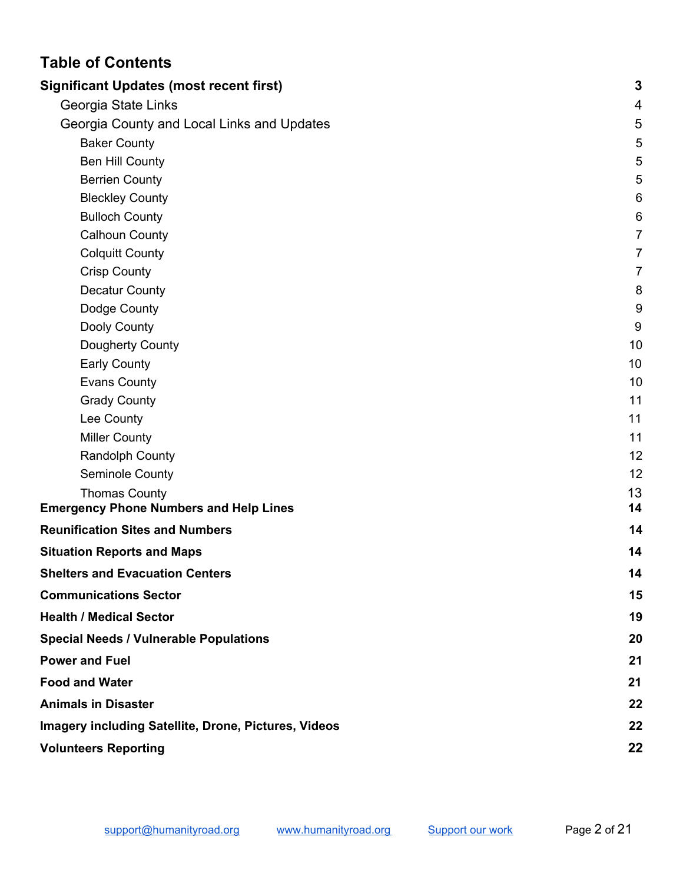# **Table of Contents**

| <b>Significant Updates (most recent first)</b>              | $\mathbf{3}$   |
|-------------------------------------------------------------|----------------|
| Georgia State Links                                         | 4              |
| Georgia County and Local Links and Updates                  | $\overline{5}$ |
| <b>Baker County</b>                                         | 5              |
| <b>Ben Hill County</b>                                      | 5              |
| <b>Berrien County</b>                                       | 5              |
| <b>Bleckley County</b>                                      | 6              |
| <b>Bulloch County</b>                                       | 6              |
| Calhoun County                                              | $\overline{7}$ |
| <b>Colquitt County</b>                                      | $\overline{7}$ |
| <b>Crisp County</b>                                         | $\overline{7}$ |
| <b>Decatur County</b>                                       | 8              |
| Dodge County                                                | 9              |
| Dooly County                                                | 9              |
| Dougherty County                                            | 10             |
| <b>Early County</b>                                         | 10             |
| <b>Evans County</b>                                         | 10             |
| <b>Grady County</b>                                         | 11             |
| Lee County                                                  | 11             |
| <b>Miller County</b>                                        | 11             |
| Randolph County                                             | 12             |
| Seminole County                                             | 12             |
| <b>Thomas County</b>                                        | 13             |
| <b>Emergency Phone Numbers and Help Lines</b>               | 14             |
| <b>Reunification Sites and Numbers</b>                      | 14             |
| <b>Situation Reports and Maps</b>                           | 14             |
| <b>Shelters and Evacuation Centers</b>                      | 14             |
| <b>Communications Sector</b>                                | 15             |
| <b>Health / Medical Sector</b>                              | 19             |
| <b>Special Needs / Vulnerable Populations</b>               | 20             |
| <b>Power and Fuel</b>                                       | 21             |
| <b>Food and Water</b>                                       | 21             |
| <b>Animals in Disaster</b>                                  | 22             |
| <b>Imagery including Satellite, Drone, Pictures, Videos</b> | 22             |
| <b>Volunteers Reporting</b>                                 | 22             |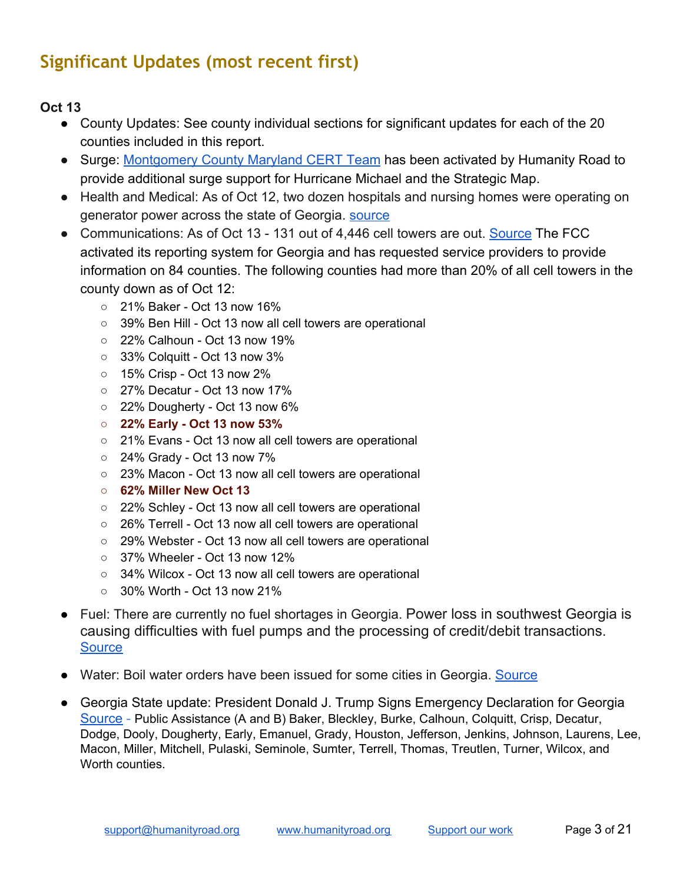# <span id="page-2-0"></span>**Significant Updates (most recent first)**

- County Updates: See county individual sections for significant updates for each of the 20 counties included in this report.
- Surge: [Montgomery County Maryland CERT Team](http://montgomerycert.org/) has been activated by Humanity Road to provide additional surge support for Hurricane Michael and the Strategic Map.
- Health and Medical: As of Oct 12, two dozen hospitals and nursing homes were operating on generator power across the state of Georgia. [source](https://www.ajc.com/weather/hurricanes/two-dozen-georgia-hospitals-nursing-homes-relying-backup-generators-deadly-storm-wake/bffOw6eUo80uvwUDwgUIUJ/)
- Communications: As of Oct 13 131 out of 4,446 cell towers are out. [Source](https://www.fcc.gov/document/hurricane-michael-communications-status-report-october-13-2018) The FCC activated its reporting system for Georgia and has requested service providers to provide information on 84 counties. The following counties had more than 20% of all cell towers in the county down as of Oct 12:
	- 21% Baker Oct 13 now 16%
	- 39% Ben Hill Oct 13 now all cell towers are operational
	- 22% Calhoun Oct 13 now 19%
	- 33% Colquitt Oct 13 now 3%
	- 15% Crisp Oct 13 now 2%
	- 27% Decatur Oct 13 now 17%
	- 22% Dougherty Oct 13 now 6%
	- **○ 22% Early - Oct 13 now 53%**
	- 21% Evans Oct 13 now all cell towers are operational
	- 24% Grady Oct 13 now 7%
	- 23% Macon Oct 13 now all cell towers are operational
	- **○ 62% Miller New Oct 13**
	- 22% Schley Oct 13 now all cell towers are operational
	- 26% Terrell Oct 13 now all cell towers are operational
	- 29% Webster Oct 13 now all cell towers are operational
	- 37% Wheeler Oct 13 now 12%
	- 34% Wilcox Oct 13 now all cell towers are operational
	- 30% Worth Oct 13 now 21%
- Fuel: There are currently no fuel shortages in Georgia. Power loss in southwest Georgia is causing difficulties with fuel pumps and the processing of credit/debit transactions. **[Source](http://www.gema.ga.gov/Pages/default.aspx)**
- Water: Boil water orders have been issued for some cities in Georgia. [Source](https://www.walb.com/2018/10/11/albany-dawson-sasser-issue-boil-water-notice/)
- <span id="page-2-1"></span>● Georgia State update: President Donald J. Trump Signs Emergency Declaration for Georgia [Source](https://www.fema.gov/news-release/2018/10/11/president-donald-j-trump-signs-emergency-declaration-georgia) - Public Assistance (A and B) Baker, Bleckley, Burke, Calhoun, Colquitt, Crisp, Decatur, Dodge, Dooly, Dougherty, Early, Emanuel, Grady, Houston, Jefferson, Jenkins, Johnson, Laurens, Lee, Macon, Miller, Mitchell, Pulaski, Seminole, Sumter, Terrell, Thomas, Treutlen, Turner, Wilcox, and Worth counties.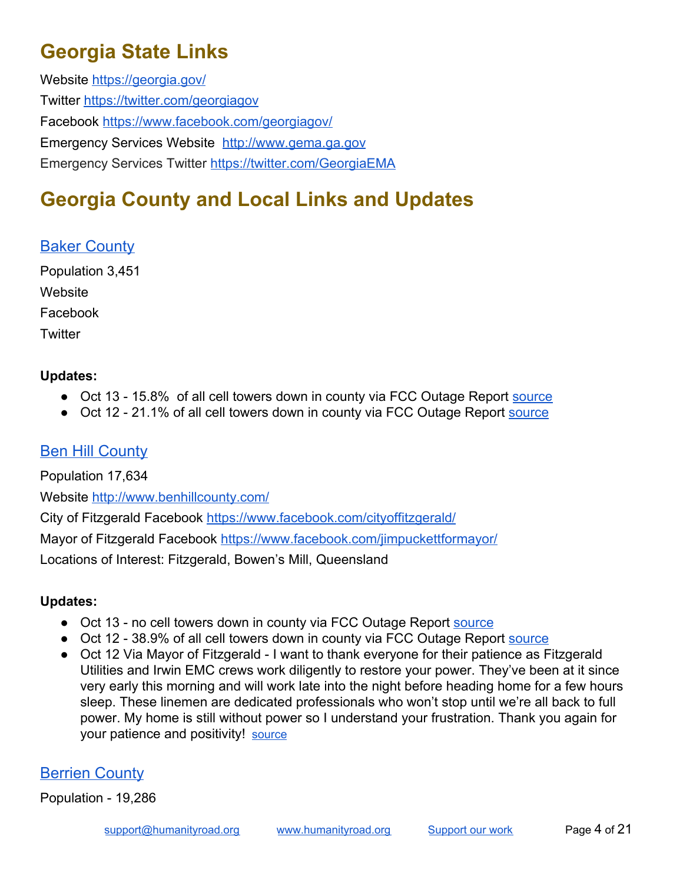# **Georgia State Links**

Website<https://georgia.gov/> Twitter<https://twitter.com/georgiagov> Facebook<https://www.facebook.com/georgiagov/> Emergency Services Website [http://www.gema.ga.gov](http://www.gema.ga.gov/Pages/default.aspx) Emergency Services Twitter <https://twitter.com/GeorgiaEMA>

# <span id="page-3-0"></span>**Georgia County and Local Links and Updates**

### <span id="page-3-1"></span>Baker County

Population 3,451 **Website** Facebook **Twitter** 

#### **Updates:**

- Oct 13 15.8% of all cell towers down in county via FCC Outage Report [source](https://www.fcc.gov/document/hurricane-michael-communications-status-report-october-12-2018)
- Oct 12 21.1% of all cell towers down in county via FCC Outage Report [source](https://www.fcc.gov/document/hurricane-michael-communications-status-report-october-12-2018)

### <span id="page-3-2"></span>**Ben Hill County**

Population 17,634 Website<http://www.benhillcounty.com/>

City of Fitzgerald Facebook<https://www.facebook.com/cityoffitzgerald/>

Mayor of Fitzgerald Facebook <https://www.facebook.com/jimpuckettformayor/>

Locations of Interest: Fitzgerald, Bowen's Mill, Queensland

#### **Updates:**

- Oct 13 no cell towers down in county via FCC Outage Report [source](https://www.fcc.gov/document/hurricane-michael-communications-status-report-october-12-2018)
- Oct 12 38.9% of all cell towers down in county via FCC Outage Report [source](https://www.fcc.gov/document/hurricane-michael-communications-status-report-october-12-2018)
- Oct 12 Via Mayor of Fitzgerald I want to thank everyone for their patience as Fitzgerald Utilities and Irwin EMC crews work diligently to restore your power. They've been at it since very early this morning and will work late into the night before heading home for a few hours sleep. These linemen are dedicated professionals who won't stop until we're all back to full power. My home is still without power so I understand your frustration. Thank you again for your patience and positivity! [source](https://www.facebook.com/jimpuckettformayor/posts/302480450342655?__xts__[0]=68.ARCEP38k2xrma51IcXIuwgpM5GTgyiBl45-YKOj7QDVbG9jIKK349iVCcG2VVlYixc15k668oNEp6pN-EzvLX4-e6bxNhwKTUDQJNUsfx40J7Fy8MA5hXKAh4n2CcUQQxY8zLs5_MguNBGxO0awlF7P604Eoa82ZeVBExff9Q1Z4zOO8s2wd&__tn__=-R)

### <span id="page-3-3"></span>Berrien County

Population - 19,286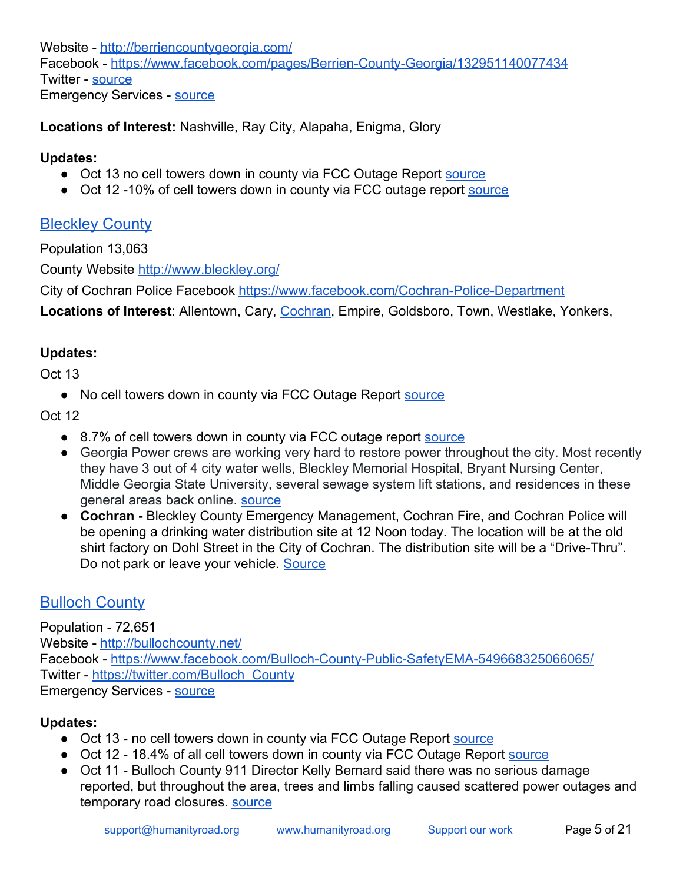Website - <http://berriencountygeorgia.com/> Facebook -<https://www.facebook.com/pages/Berrien-County-Georgia/132951140077434> Twitter - [source](https://twitter.com/search?q=berrien%20ga&src=typd) Emergency Services - [source](http://www.gema.ga.gov/Pages/County-Info.aspx?county=Berrien%20County)

**Locations of Interest:** Nashville, Ray City, Alapaha, Enigma, Glory

#### **Updates:**

- **●** Oct 13 no cell towers down in county via FCC Outage Report [source](https://www.fcc.gov/document/hurricane-michael-communications-status-report-october-12-2018)
- **●** Oct 12 -10% of cell towers down in county via FCC outage report [source](https://www.fcc.gov/document/hurricane-michael-communications-status-report-october-12-2018)

### <span id="page-4-0"></span>**Bleckley County**

Population 13,063

County Website <http://www.bleckley.org/>

City of Cochran Police Facebook [https://www.facebook.com/Cochran-Police-Department](https://www.facebook.com/Cochran-Police-Department-1662027550741750/?__xts__[0]=68.ARCqV6cKke3cq67OUeFIk8BJGUXGOF3g5ZsGAvWEjb7ugcYZ3O4mZO28NS0IomlIUGPWN-gOlvafxvAPa9XcX8FoXoN-QxKnkejNhVgltqyYbQM_gy6p288-i0jTZhdb6czSlgGE94uvYP0QWznOwvSx-XFP5M_Ynk7hN3I1nmx0bacvqCDS5g&__xts__[1]=68.ARBNn7Z_WHHy0tq8Duz9DFn92-MuFL0cD1db8e_fUGF2ItGjdbXFcQy2_L1LKyxDzCnZr4xOgyoD5a0H383k3y5NmjRtCTrz6bEZcLT64UXZtoTmpfCF04HeHwmvn7S2yIWlcwYLQBqA9dHZS8ZRboa-qijeqN93oG48zr_Lpm1a_dkQen9Swg&hc_ref=ARQPH0Atn6mjR3--eIAmgJcpKYdWpkbSGKKTCYPYjOf_j6TPAzkGRCDIBnX4Jv3or8c&fref=nf&__tn__=kC-R) Locations of Interest: Allentown, Cary, [Cochran,](https://www.cityofcochran.com/) Empire, Goldsboro, Town, Westlake, Yonkers,

### **Updates:**

Oct 13

● No cell towers down in county via FCC Outage Report [source](https://www.fcc.gov/document/hurricane-michael-communications-status-report-october-12-2018)

Oct 12

- 8.7% of cell towers down in county via FCC outage report [source](https://www.fcc.gov/document/hurricane-michael-communications-status-report-october-12-2018)
- Georgia Power crews are working very hard to restore power throughout the city. Most recently they have 3 out of 4 city water wells, Bleckley Memorial Hospital, Bryant Nursing Center, Middle Georgia State University, several sewage system lift stations, and residences in these general areas back online. [source](https://www.facebook.com/permalink.php?story_fbid=2201417956802704&id=1662027550741750&__xts__[0]=68.ARCqV6cKke3cq67OUeFIk8BJGUXGOF3g5ZsGAvWEjb7ugcYZ3O4mZO28NS0IomlIUGPWN-gOlvafxvAPa9XcX8FoXoN-QxKnkejNhVgltqyYbQM_gy6p288-i0jTZhdb6czSlgGE94uvYP0QWznOwvSx-XFP5M_Ynk7hN3I1nmx0bacvqCDS5g&__tn__=-R)
- **Cochran -** Bleckley County Emergency Management, Cochran Fire, and Cochran Police will be opening a drinking water distribution site at 12 Noon today. The location will be at the old shirt factory on Dohl Street in the City of Cochran. The distribution site will be a "Drive-Thru". Do not park or leave your vehicle. [Source](https://www.facebook.com/Cochran-Police-Department-1662027550741750/?ref=py_c)

# <span id="page-4-1"></span>Bulloch County

Population - 72,651 Website - <http://bullochcounty.net/> Facebook -<https://www.facebook.com/Bulloch-County-Public-SafetyEMA-549668325066065/> Twitter - [https://twitter.com/Bulloch\\_County](https://twitter.com/Bulloch_County) Emergency Services - [source](http://www.gema.ga.gov/Pages/County-Info.aspx?county=Bulloch%20County)

### **Updates:**

- Oct 13 no cell towers down in county via FCC Outage Report [source](https://www.fcc.gov/document/hurricane-michael-communications-status-report-october-12-2018)
- Oct 12 18.4% of all cell towers down in county via FCC Outage Report [source](https://www.fcc.gov/document/hurricane-michael-communications-status-report-october-12-2018)
- Oct 11 Bulloch County 911 Director Kelly Bernard said there was no serious damage reported, but throughout the area, trees and limbs falling caused scattered power outages and temporary road closures. **SOUTCE**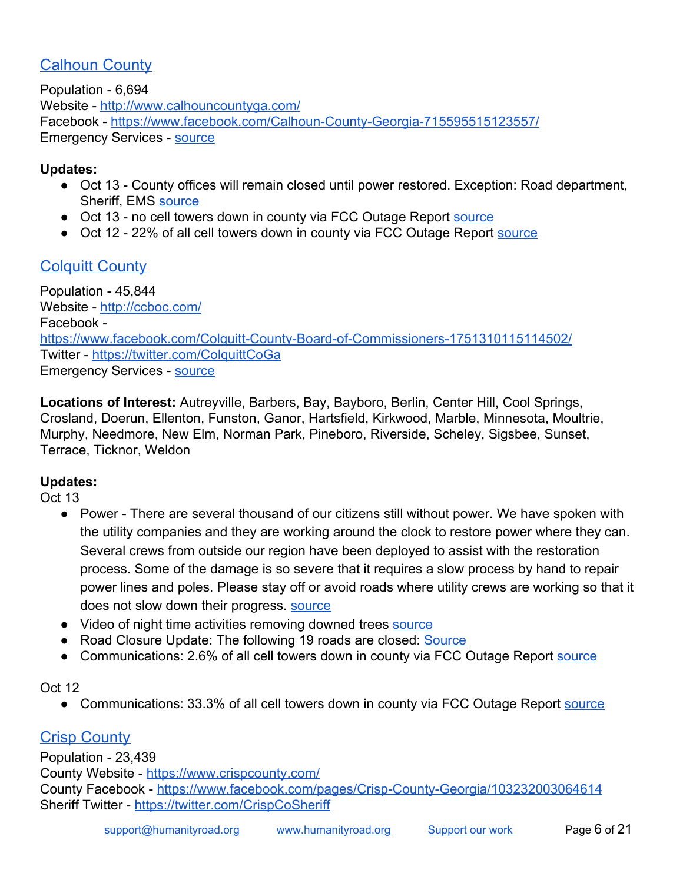### <span id="page-5-0"></span>**Calhoun County**

Population - 6,694 Website - <http://www.calhouncountyga.com/> Facebook -<https://www.facebook.com/Calhoun-County-Georgia-715595515123557/> Emergency Services - [source](http://www.gema.ga.gov/Pages/County-Info.aspx?county=Calhoun%20County)

#### **Updates:**

- Oct 13 County offices will remain closed until power restored. Exception: Road department, Sheriff, EMS [source](https://www.facebook.com/permalink.php?story_fbid=2467948796554878&id=715595515123557&__xts__[0]=68.ARDs3VoW1DvmKwBI2daIeFFy700adDkrXq1oSu6tOzXBPJlKwCPLzJ-CYiTwRl-gHGD7y4pbi4C755lw5bJxkin4V7EDRWH5sGmQn0x6L4YwsjO5YnOY8IFtumaZnMgiIRFjKJx9g0dHed7VqRVKbYJYxCQLT3YcVizNjQnEZOExZ2hZrMejIQ&__tn__=-R)
- Oct 13 no cell towers down in county via FCC Outage Report [source](https://www.fcc.gov/document/hurricane-michael-communications-status-report-october-12-2018)
- Oct 12 22% of all cell towers down in county via FCC Outage Report [source](https://www.fcc.gov/document/hurricane-michael-communications-status-report-october-12-2018)

### <span id="page-5-1"></span>Colquitt County

Population - 45,844 Website - <http://ccboc.com/> Facebook <https://www.facebook.com/Colquitt-County-Board-of-Commissioners-1751310115114502/> Twitter -<https://twitter.com/ColquittCoGa> **Emergency Services - [source](http://www.gema.ga.gov/Pages/County-Info.aspx?county=Colquitt%20County)** 

**Locations of Interest:** Autreyville, Barbers, Bay, Bayboro, Berlin, Center Hill, Cool Springs, Crosland, Doerun, Ellenton, Funston, Ganor, Hartsfield, Kirkwood, Marble, Minnesota, Moultrie, Murphy, Needmore, New Elm, Norman Park, Pineboro, Riverside, Scheley, Sigsbee, Sunset, Terrace, Ticknor, Weldon

#### **Updates:**

Oct 13

- Power There are several thousand of our citizens still without power. We have spoken with the utility companies and they are working around the clock to restore power where they can. Several crews from outside our region have been deployed to assist with the restoration process. Some of the damage is so severe that it requires a slow process by hand to repair power lines and poles. Please stay off or avoid roads where utility crews are working so that it does not slow down their progress. **SOUICE**
- Video of night time activities removing downed trees [source](https://www.facebook.com/elvira.gibson.5/videos/pcb.2054170891301911/2054165377969129/?type=3&theater)
- Road Closure Update: The following 19 roads are closed: [Source](https://www.facebook.com/Colquitt-County-Board-of-Commissioners-1751310115114502/?__tn__=kC-R&eid=ARBaznkJVC9ifqLZRwTfdhr5d6tNZf6NBk1c3iSEkVlSa81tHmBcb8hqqna3j69Af-KCjC8twBCmU3FJ&hc_ref=ARToCYnpltlQGydF60Gnf0fXO6uQYK3WIy4Ees6FFveAhxU19mbWQo4D7MPSJ7ippAQ&fref=nf&__xts__[0]=68.ARBdH4voSJ7gxf6VOdiAWRjzeAb4amrUReNkLmUCfNDjRx9idJ7elbeBBC13Y0U22Y49iWUyiY3Cq_90IOqg-gEJgWiDPZn6fiWRNoM6lnLbUC351vnpHFHXxH_VGbmXhHKfvDVJVmiR3lxdy53efok9sptScKCScpXG0KgpP6MnkaGW1KdsEw)
- Communications: 2.6% of all cell towers down in county via FCC Outage Report [source](https://www.fcc.gov/document/hurricane-michael-communications-status-report-october-12-2018)

#### Oct 12

● Communications: 33.3% of all cell towers down in county via FCC Outage Report [source](https://www.fcc.gov/document/hurricane-michael-communications-status-report-october-12-2018)

### <span id="page-5-2"></span>Crisp County

Population - 23,439 County Website -<https://www.crispcounty.com/> County Facebook - <https://www.facebook.com/pages/Crisp-County-Georgia/103232003064614> Sheriff Twitter - <https://twitter.com/CrispCoSheriff>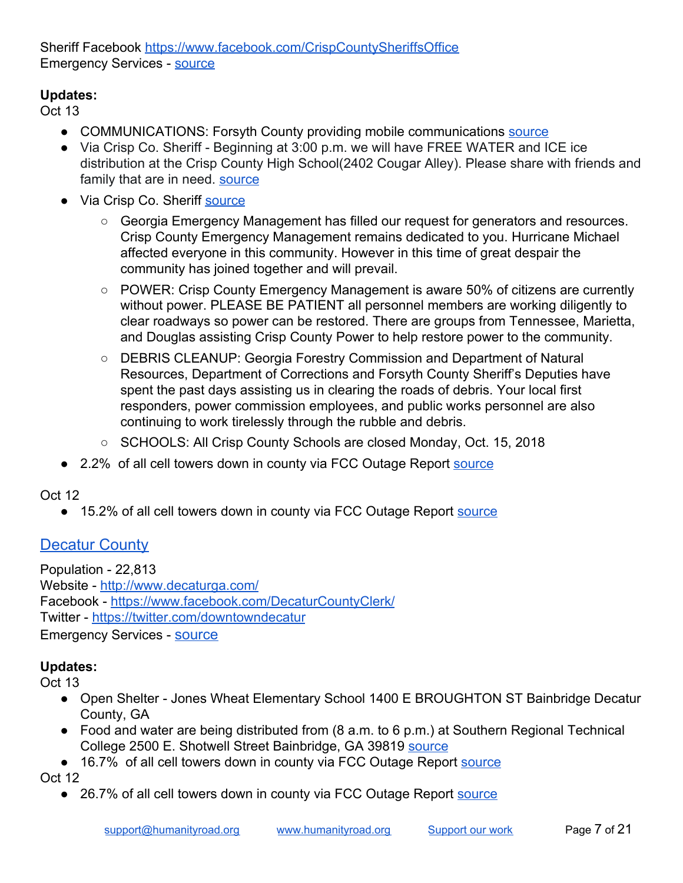Sheriff Facebook <https://www.facebook.com/CrispCountySheriffsOffice> Emergency Services - [source](http://www.gema.ga.gov/Pages/County-Info.aspx?county=Crisp%20County)

### **Updates:**

Oct 13

- COMMUNICATIONS: Forsyth County providing mobile communications [source](https://www.facebook.com/CrispCountySheriffsOffice/posts/1877271912328388?__xts__[0]=68.ARDVkZjOO930_Ojv1ZxM0dN8j0_9ZFL5CylUK3wrelP-hRoFAB_y4GQQtDgHVMpvbHeu8qGruqRRQ75cLc5TZe3rK6EXm5MCah3qYPD1XzbOOkvaqV6wBlq4y1WweTTF_LctEZlYuPj2RW8W-wCP20dytKYp9IZ2ajgLB8IIIoKHTEsCnu0gYQ&__tn__=-R)
- Via Crisp Co. Sheriff Beginning at 3:00 p.m. we will have FREE WATER and ICE ice distribution at the Crisp County High School(2402 Cougar Alley). Please share with friends and family that are in need. [source](https://twitter.com/CrispCoSheriff/status/1051173878104494082)
- Via Crisp Co. Sheriff [source](https://www.facebook.com/CrispCountySheriffsOffice/?__xts__[0]=68.ARDVkZjOO930_Ojv1ZxM0dN8j0_9ZFL5CylUK3wrelP-hRoFAB_y4GQQtDgHVMpvbHeu8qGruqRRQ75cLc5TZe3rK6EXm5MCah3qYPD1XzbOOkvaqV6wBlq4y1WweTTF_LctEZlYuPj2RW8W-wCP20dytKYp9IZ2ajgLB8IIIoKHTEsCnu0gYQ&__xts__[1]=68.ARDS_j6P4-d7f0GPA0kB0Kqh95f1ynXweXfzCv2ZdLL6dHNCiSiQN-o8ehlEfd78Q6ISEG024-SDar2LJA-mUbN4nZODd7eZIPDDZcXySRMJgnQ82N1lrRgLd9Gksg3Oab8XttwIInRHp2I1qr_CzXXRISbfsAZkVdvxixelFtrFfvPXEY997Q&__xts__[2]=68.ARDwq_ag04ooqvqoZ7u44KJiuJd3ZoEWkQTa2A10FbxHc3KIraT98R_m_RIq6dybX7P3EeeA8U-XhIvHAeUALMu9-9JxBYvddWjoLaLCBJ1tKOVZGlMcmq3KMgyNSdCQ7pNiIF4yhRuJA66tHNA4gTfsBy4V7F2YLdfL9PLhAM1BTkaW5Gnu8A&hc_ref=ARRHS0PDvvxOC_pPLlgWG3UM0Unwwwj8R6Ir2znm3mfYgz6gww6EUEDwvjs5o2VDjFE&fref=nf&__tn__=kC-R)
	- Georgia Emergency Management has filled our request for generators and resources. Crisp County Emergency Management remains dedicated to you. Hurricane Michael affected everyone in this community. However in this time of great despair the community has joined together and will prevail.
	- POWER: Crisp County Emergency Management is aware 50% of citizens are currently without power. PLEASE BE PATIENT all personnel members are working diligently to clear roadways so power can be restored. There are groups from Tennessee, Marietta, and Douglas assisting Crisp County Power to help restore power to the community.
	- DEBRIS CLEANUP: Georgia Forestry Commission and Department of Natural Resources, Department of Corrections and Forsyth County Sheriff's Deputies have spent the past days assisting us in clearing the roads of debris. Your local first responders, power commission employees, and public works personnel are also continuing to work tirelessly through the rubble and debris.
	- SCHOOLS: All Crisp County Schools are closed Monday, Oct. 15, 2018
- 2.2% of all cell towers down in county via FCC Outage Report [source](https://www.fcc.gov/document/hurricane-michael-communications-status-report-october-12-2018)

### Oct 12

● 15.2% of all cell towers down in county via FCC Outage Report [source](https://www.fcc.gov/document/hurricane-michael-communications-status-report-october-12-2018)

### <span id="page-6-0"></span>**Decatur County**

Population - 22,813 Website - <http://www.decaturga.com/> Facebook -<https://www.facebook.com/DecaturCountyClerk/> Twitter -<https://twitter.com/downtowndecatur> Emergency Services - [source](http://www.decaturcountyga.gov/departments-agencies/emergency-management-agency/)

### **Updates:**

- Open Shelter Jones Wheat Elementary School 1400 E BROUGHTON ST Bainbridge Decatur County, GA
- Food and water are being distributed from (8 a.m. to 6 p.m.) at Southern Regional Technical College 2500 E. Shotwell Street Bainbridge, GA 39819 [source](http://www.gema.ga.gov/Pages/default.aspx)
- 16.7% of all cell towers down in county via FCC Outage Report [source](https://www.fcc.gov/document/hurricane-michael-communications-status-report-october-12-2018) Oct 12
	- 26.7% of all cell towers down in county via FCC Outage Report [source](https://www.fcc.gov/document/hurricane-michael-communications-status-report-october-12-2018)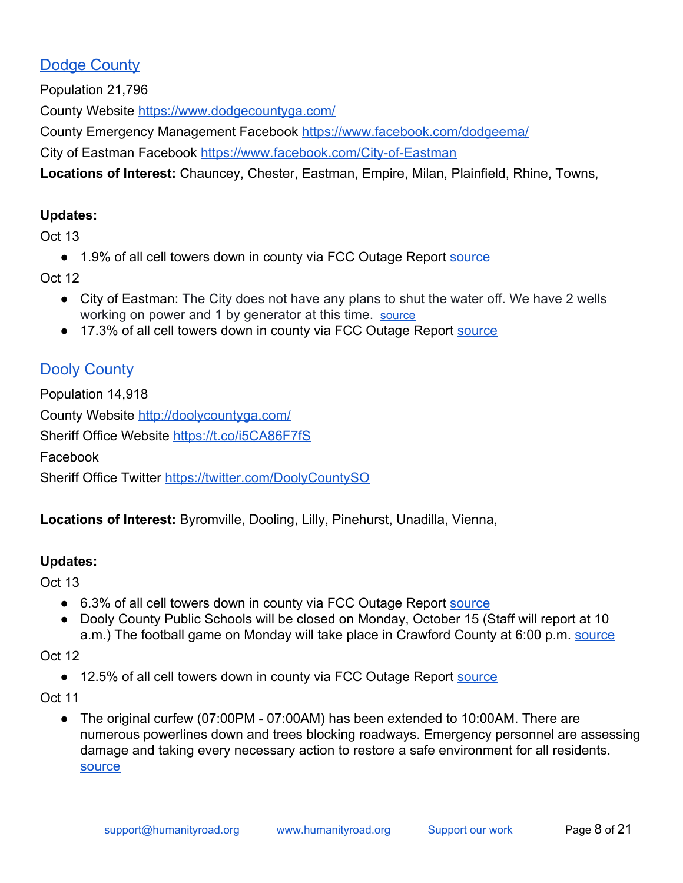### <span id="page-7-0"></span>Dodge County

Population 21,796

County Website <https://www.dodgecountyga.com/>

County Emergency Management Facebook <https://www.facebook.com/dodgeema/>

City of Eastman Facebook [https://www.facebook.com/City-of-Eastman](https://www.facebook.com/City-of-Eastman-550997085106364/?ref=py_c)

**Locations of Interest:** Chauncey, Chester, Eastman, Empire, Milan, Plainfield, Rhine, Towns,

### **Updates:**

Oct 13

● 1.9% of all cell towers down in county via FCC Outage Report [source](https://www.fcc.gov/document/hurricane-michael-communications-status-report-october-12-2018)

Oct 12

- City of Eastman: The City does not have any plans to shut the water off. We have 2 wells working on power and 1 by generator at this time. [source](https://www.facebook.com/permalink.php?story_fbid=884677905071612&id=550997085106364&__xts__[0]=68.ARDv9m09d_gC1-sE9rXwgh1WRETvGHWLiaYR1J4REzCZdLsFjFLAaDmCAzoWbX2p8YHENTLR5o989wn9d7gyjJBn4SUWdoo22tUdbe4kWpUIirBxVi9vdNVJPQrZN6F2BPB2AN-M6P313O0DnvbCxBVEzSq9mgJKsyvERALdDx2O24LUOFZM&__tn__=-R)
- 17.3% of all cell towers down in county via FCC Outage Report [source](https://www.fcc.gov/document/hurricane-michael-communications-status-report-october-12-2018)

# <span id="page-7-1"></span>Dooly County

Population 14,918 County Website <http://doolycountyga.com/> Sheriff Office Website<https://t.co/i5CA86F7fS> Facebook Sheriff Office Twitter <https://twitter.com/DoolyCountySO>

**Locations of Interest:** Byromville, Dooling, Lilly, Pinehurst, Unadilla, Vienna,

### **Updates:**

Oct 13

- 6.3% of all cell towers down in county via FCC Outage Report [source](https://www.fcc.gov/document/hurricane-michael-communications-status-report-october-12-2018)
- Dooly County Public Schools will be closed on Monday, October 15 (Staff will report at 10 a.m.) The football game on Monday will take place in Crawford County at 6:00 p.m. [source](http://www.dooly.k12.ga.us/)

Oct 12

● 12.5% of all cell towers down in county via FCC Outage Report [source](https://www.fcc.gov/document/hurricane-michael-communications-status-report-october-12-2018)

Oct 11

● The original curfew (07:00PM - 07:00AM) has been extended to 10:00AM. There are numerous powerlines down and trees blocking roadways. Emergency personnel are assessing damage and taking every necessary action to restore a safe environment for all residents. [source](https://twitter.com/DoolyCountySO/status/1050334684549394433)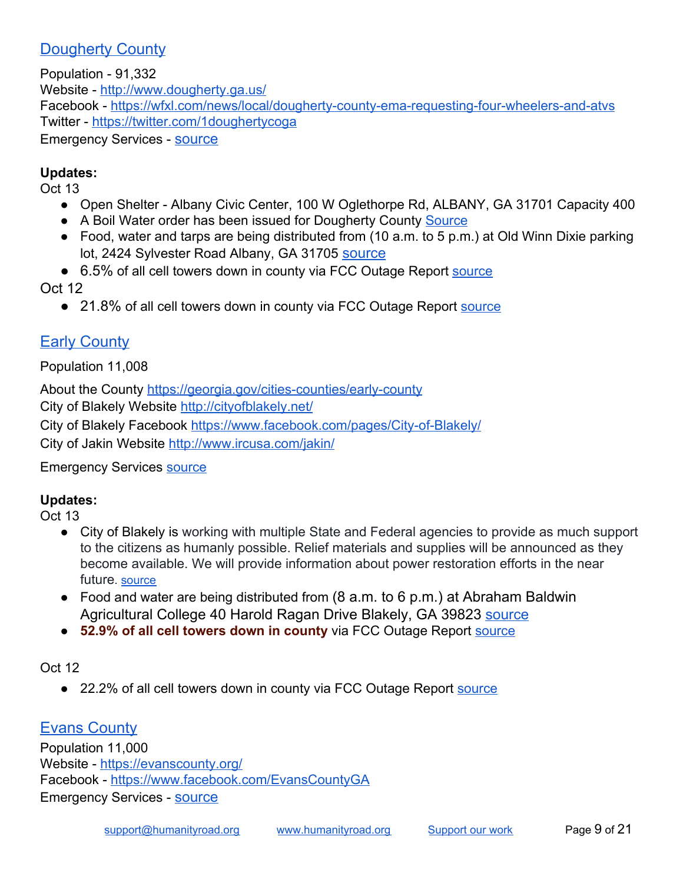### <span id="page-8-0"></span>Dougherty County

Population - 91,332 Website - <http://www.dougherty.ga.us/> Facebook -<https://wfxl.com/news/local/dougherty-county-ema-requesting-four-wheelers-and-atvs> Twitter -<https://twitter.com/1doughertycoga> Emergency Services - [source](http://www.gema.ga.gov/Pages/County-Info.aspx?county=Dougherty%20County)

### **Updates:**

Oct 13

- Open Shelter Albany Civic Center, 100 W Oglethorpe Rd, ALBANY, GA 31701 Capacity 400
- A Boil Water order has been issued for Dougherty County [Source](https://www.facebook.com/pg/1doughertycountyga/posts/?ref=page_internal)
- Food, water and tarps are being distributed from (10 a.m. to 5 p.m.) at Old Winn Dixie parking lot, 2424 Sylvester Road Albany, GA 31705 [source](http://www.gema.ga.gov/Pages/default.aspx)
- 6.5% of all cell towers down in county via FCC Outage Report [source](https://www.fcc.gov/document/hurricane-michael-communications-status-report-october-12-2018)

Oct 12

● 21.8% of all cell towers down in county via FCC Outage Report [source](https://www.fcc.gov/document/hurricane-michael-communications-status-report-october-12-2018)

# <span id="page-8-1"></span>**Early County**

Population 11,008

About the County <https://georgia.gov/cities-counties/early-county> City of Blakely Website <http://cityofblakely.net/> City of Blakely Facebook [https://www.facebook.com/pages/City-of-Blakely/](https://www.facebook.com/pages/City-of-Blakely/1549549495294832?ref=hl) City of Jakin Website <http://www.ircusa.com/jakin/>

Emergency Services [source](http://www.gema.ga.gov/Pages/County-Info.aspx?county=Early%20County)

### **Updates:**

Oct 13

- City of Blakely is working with multiple State and Federal agencies to provide as much support to the citizens as humanly possible. Relief materials and supplies will be announced as they become available. We will provide information about power restoration efforts in the near future. [source](https://www.facebook.com/welcometoblakely/posts/2132089117040864?__xts__[0]=68.ARDIXqgUdvPhhqDNR9XbkjqF_XtOgdGcYY62NomynGOuOkK0sVxI4RGFpfnzHpC2EDSNni3ZJG11N6iKmM_ZfxDR_JVTRL5ZdQDTDWB9e099gCnLSLdYOyLYBWm6rYdf_ievJaYvsBLA7_FkLhiHF30nZWi-PqDltqSDw8Fpc0SPk8sDC-EqZg&__tn__=-R)
- Food and water are being distributed from (8 a.m. to 6 p.m.) at Abraham Baldwin Agricultural College 40 Harold Ragan Drive Blakely, GA 39823 [source](http://www.gema.ga.gov/Pages/default.aspx)
- **52.9% of all cell towers down in county** via FCC Outage Report [source](https://www.fcc.gov/document/hurricane-michael-communications-status-report-october-12-2018)

### Oct 12

● 22.2% of all cell towers down in county via FCC Outage Report [source](https://www.fcc.gov/document/hurricane-michael-communications-status-report-october-12-2018)

## <span id="page-8-2"></span>**Evans County**

Population 11,000 Website - <https://evanscounty.org/> Facebook -<https://www.facebook.com/EvansCountyGA> Emergency Services - [source](http://evanscounty.org/departments/ema/)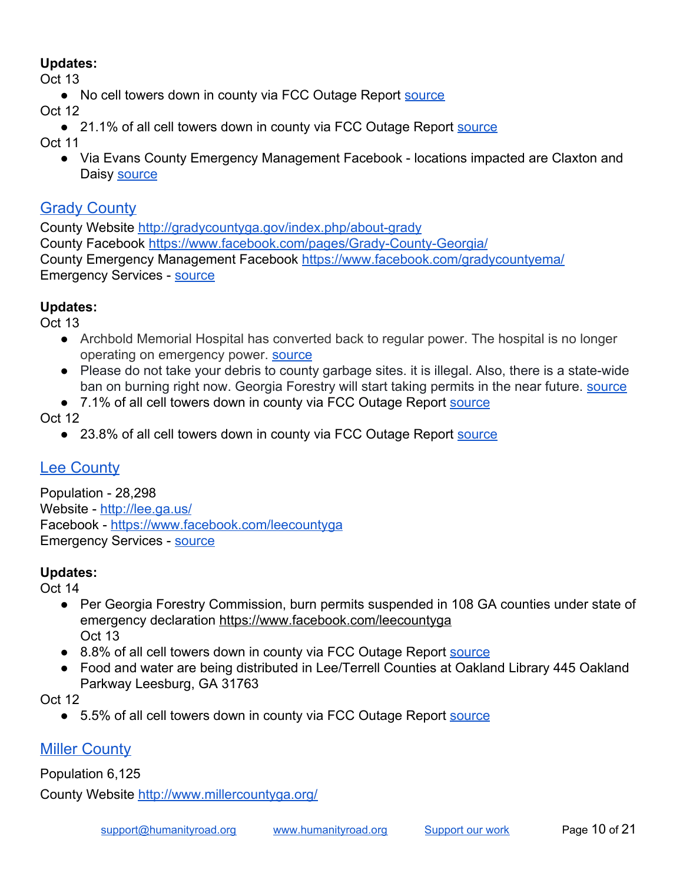### **Updates:**

Oct 13

● No cell towers down in county via FCC Outage Report [source](https://www.fcc.gov/document/hurricane-michael-communications-status-report-october-12-2018)

Oct 12

● 21.1% of all cell towers down in county via FCC Outage Report [source](https://www.fcc.gov/document/hurricane-michael-communications-status-report-october-12-2018)

Oct 11

● Via Evans County Emergency Management Facebook - locations impacted are Claxton and Daisy [source](https://www.facebook.com/EvansCountyGA/posts/2220051504948836?__xts__[0]=68.ARDwoUX4xx5FAe5RRhgPj1Qqw8194RyfPRdSV8ayNn6WmoBtFNCo9Mtbxev8Zq1VY3dU_Uf5JWGnfXVBBPVCcIUkisWHcs7WH5DWiJqFCWj1hdzKkkgWgwoRaCa2fxO5WCASu_N3HFlUwOS133PO68vWjr4tMFWVaY6O8zPrUtnooTL6BeSThw&__tn__=-R)

# <span id="page-9-0"></span>**Grady County**

County Website <http://gradycountyga.gov/index.php/about-grady> County Facebook [https://www.facebook.com/pages/Grady-County-Georgia/](https://www.facebook.com/pages/Grady-County-Georgia/132258856813204?eid=ARASx7aXpcGWaB4I-PjRa-PUApXuAVMqD5LuXYisNNWlkM-n3IwfPkxu7u87WWH8UhfGYn8rXlvDFowf) County Emergency Management Facebook <https://www.facebook.com/gradycountyema/> Emergency Services - [source](http://gradycountyga.gov/index.php/public-safety/emergency-management-agency)

### **Updates:**

Oct 13

- Archbold Memorial Hospital has converted back to regular power. The hospital is no longer operating on emergency power. [source](https://archbold.org/emergency-management/hurricane-michael-update-october-14-2018-830am-est)
- Please do not take your debris to county garbage sites. it is illegal. Also, there is a state-wide ban on burning right now. Georgia Forestry will start taking permits in the near future. [source](https://www.facebook.com/gradycountyga/posts/1383258085139389?__tn__=H-R)
- 7.1% of all cell towers down in county via FCC Outage Report [source](https://www.fcc.gov/document/hurricane-michael-communications-status-report-october-12-2018)

Oct 12

● 23.8% of all cell towers down in county via FCC Outage Report [source](https://www.fcc.gov/document/hurricane-michael-communications-status-report-october-12-2018)

# <span id="page-9-1"></span>**Lee County**

Population - 28,298 Website - <http://lee.ga.us/> Facebook -<https://www.facebook.com/leecountyga> Emergency Services - [source](http://www.gema.ga.gov/Pages/County-Info.aspx?county=Lee%20County)

## **Updates:**

Oct 14

- Per Georgia Forestry Commission, burn permits suspended in 108 GA counties under state of emergency declaration<https://www.facebook.com/leecountyga> Oct 13
- 8.8% of all cell towers down in county via FCC Outage Report [source](https://www.fcc.gov/document/hurricane-michael-communications-status-report-october-12-2018)
- Food and water are being distributed in Lee/Terrell Counties at Oakland Library 445 Oakland Parkway Leesburg, GA 31763

Oct 12

● 5.5% of all cell towers down in county via FCC Outage Report [source](https://www.fcc.gov/document/hurricane-michael-communications-status-report-october-12-2018)

# <span id="page-9-2"></span>Miller County

Population 6,125

County Website <http://www.millercountyga.org/>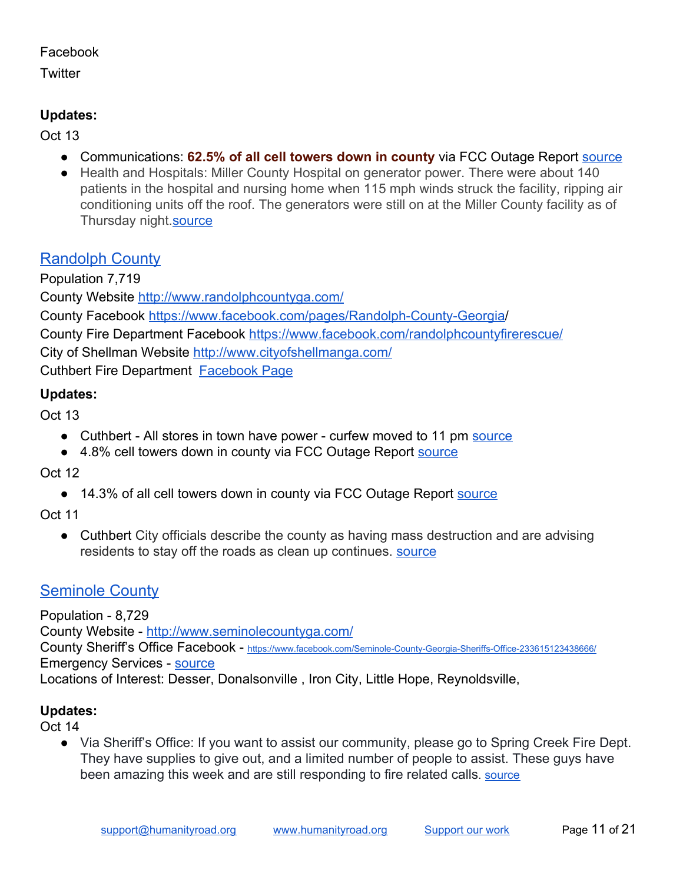#### Facebook

**Twitter** 

### **Updates:**

Oct 13

- Communications: **62.5% of all cell towers down in county** via FCC Outage Report [source](https://www.fcc.gov/document/hurricane-michael-communications-status-report-october-12-2018)
- Health and Hospitals: Miller County Hospital on generator power. There were about 140 patients in the hospital and nursing home when 115 mph winds struck the facility, ripping air conditioning units off the roof. The generators were still on at the Miller County facility as of Thursday night[.source](https://www.albanyherald.com/news/local/rural-hospitals-deliver-miracles-in-storm/article_67c03971-7ce0-586d-a30d-4313a64f0536.html)

# <span id="page-10-0"></span>Randolph County

Population 7,719 County Website <http://www.randolphcountyga.com/> County Facebook [https://www.facebook.com/pages/Randolph-County-Georgia/](https://www.facebook.com/pages/Randolph-County-Georgia/135425076490973?fref=ts) County Fire Department Facebook <https://www.facebook.com/randolphcountyfirerescue/> City of Shellman Website<http://www.cityofshellmanga.com/> Cuthbert Fire Department [Facebook Page](https://www.facebook.com/pages/category/Fire-Station/Cuthbert-Fire-Department-158493757546475/)

### **Updates:**

Oct 13

- Cuthbert All stores in town have power curfew moved to 11 pm [source](https://www.facebook.com/CuthbertPDGA/posts/350087718896521?__xts__[0]=68.ARCLMfRyJ5XR4M6s1AR_qGgOX9NCesRLD_z0YaZuzbef846pBOtR5xHrQWibprw3ZSsUOLQ0pIIC010hhhZaMSIfBk51PTBhhPcGPCJdKkaerPIv7SRefHXgnaQ4pKzH3IOjzw69x6U4miJnwVCd5EJmRMt4TDq0T8eiBrkgkLt8kyGYpPoO&__tn__=-R)
- 4.8% cell towers down in county via FCC Outage Report [source](https://www.fcc.gov/document/hurricane-michael-communications-status-report-october-12-2018)

Oct 12

● 14.3% of all cell towers down in county via FCC Outage Report [source](https://www.fcc.gov/document/hurricane-michael-communications-status-report-october-12-2018)

Oct 11

● Cuthbert City officials describe the county as having mass destruction and are advising residents to stay off the roads as clean up continues. [source](https://www.wtvm.com/2018/10/11/hurricane-michael-causes-wide-spread-damage-randolph-county-ga/)

### <span id="page-10-1"></span>**Seminole County**

Population - 8,729 County Website -<http://www.seminolecountyga.com/> County Sheriff's Office Facebook - [https://www.facebook.com/Seminole-County-Georgia-Sheriffs-Office-233615123438666/](https://www.facebook.com/pg/Seminole-County-Georgia-Sheriffs-Office-233615123438666/community/?ref=page_internal) Emergency Services - [source](http://www.gema.ga.gov/Pages/County-Info.aspx?county=Seminole%20County) Locations of Interest: Desser, Donalsonville , Iron City, Little Hope, Reynoldsville,

### **Updates:**

Oct 14

● Via Sheriff's Office: If you want to assist our community, please go to Spring Creek Fire Dept. They have supplies to give out, and a limited number of people to assist. These guys have been amazing this week and are still responding to fire related calls. **SOUTCE**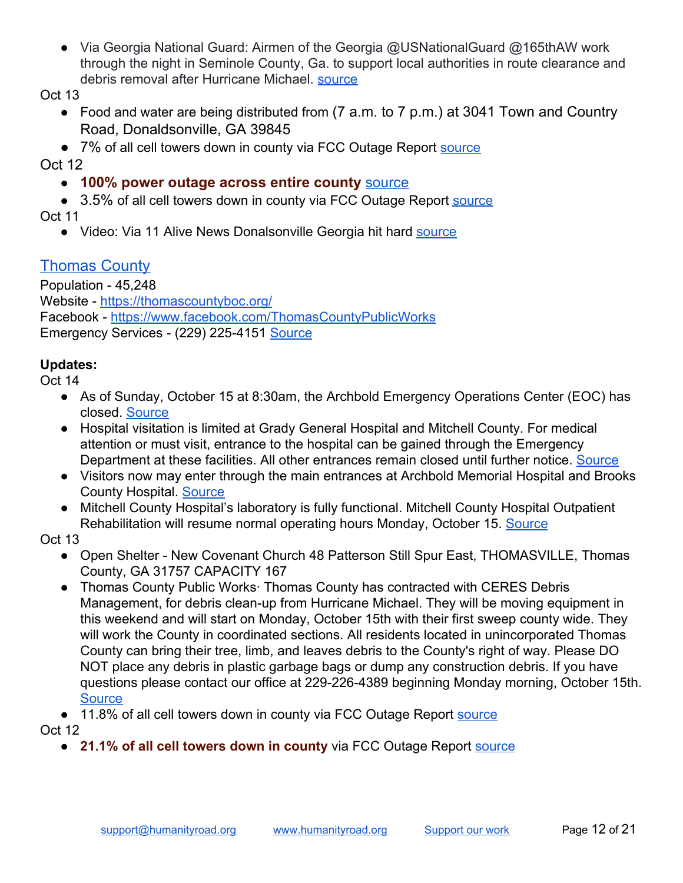● Via Georgia National Guard: Airmen of the Georgia [@USNationalGuard](https://twitter.com/USNationalGuard) [@165thAW](https://twitter.com/165thAW) work through the night in Seminole County, Ga. to support local authorities in route clearance and debris removal after Hurricane Michael. [source](https://twitter.com/GeorgiaGuard/status/1051459182875037697)

Oct 13

- Food and water are being distributed from (7 a.m. to 7 p.m.) at 3041 Town and Country Road, Donaldsonville, GA 39845
- 7% of all cell towers down in county via FCC Outage Report [source](https://www.fcc.gov/document/hurricane-michael-communications-status-report-october-12-2018) Oct 12

### ● **100% power outage across entire county** [source](https://www.walb.com/2018/10/13/complete-power-outages-across-seminole-county/)

● 3.5% of all cell towers down in county via FCC Outage Report [source](https://www.fcc.gov/document/hurricane-michael-communications-status-report-october-12-2018) Oct 11

• Video: Via 11 Alive News Donalsonville Georgia hit hard [source](https://www.youtube.com/watch?v=MVwfv0RlKzg)

# <span id="page-11-0"></span>Thomas County

Population - 45,248 Website - <https://thomascountyboc.org/> Facebook -<https://www.facebook.com/ThomasCountyPublicWorks> Emergency Services - (229) 225-4151 [Source](http://www.thomascountysheriff.com/)

### **Updates:**

Oct 14

- As of Sunday, October 15 at 8:30am, the Archbold Emergency Operations Center (EOC) has closed. [Source](https://archbold.org/emergency-management/hurricane-michael-update-october-14-2018-830am-est)
- Hospital visitation is limited at Grady General Hospital and Mitchell County. For medical attention or must visit, entrance to the hospital can be gained through the Emergency Department at these facilities. All other entrances remain closed until further notice. [Source](https://archbold.org/emergency-management/hurricane-michael-update-october-14-2018-830am-est)
- Visitors now may enter through the main entrances at Archbold Memorial Hospital and Brooks County Hospital. [Source](https://archbold.org/emergency-management/hurricane-michael-update-october-14-2018-830am-est)
- Mitchell County Hospital's laboratory is fully functional. Mitchell County Hospital Outpatient Rehabilitation will resume normal operating hours Monday, October 15. [Source](https://archbold.org/emergency-management/hurricane-michael-update-october-14-2018-830am-est)

Oct 13

- Open Shelter New Covenant Church 48 Patterson Still Spur East, THOMASVILLE, Thomas County, GA 31757 CAPACITY 167
- Thomas County Public Works Thomas County has contracted with CERES Debris Management, for debris clean-up from Hurricane Michael. They will be moving equipment in this weekend and will start on Monday, October 15th with their first sweep county wide. They will work the County in coordinated sections. All residents located in unincorporated Thomas County can bring their tree, limb, and leaves debris to the County's right of way. Please DO NOT place any debris in plastic garbage bags or dump any construction debris. If you have questions please contact our office at 229-226-4389 beginning Monday morning, October 15th. **[Source](https://www.facebook.com/ThomasCountyPublicWorks)**
- 11.8% of all cell towers down in county via FCC Outage Report [source](https://www.fcc.gov/document/hurricane-michael-communications-status-report-october-12-2018)

Oct 12

● **21.1% of all cell towers down in county** via FCC Outage Report [source](https://www.fcc.gov/document/hurricane-michael-communications-status-report-october-12-2018)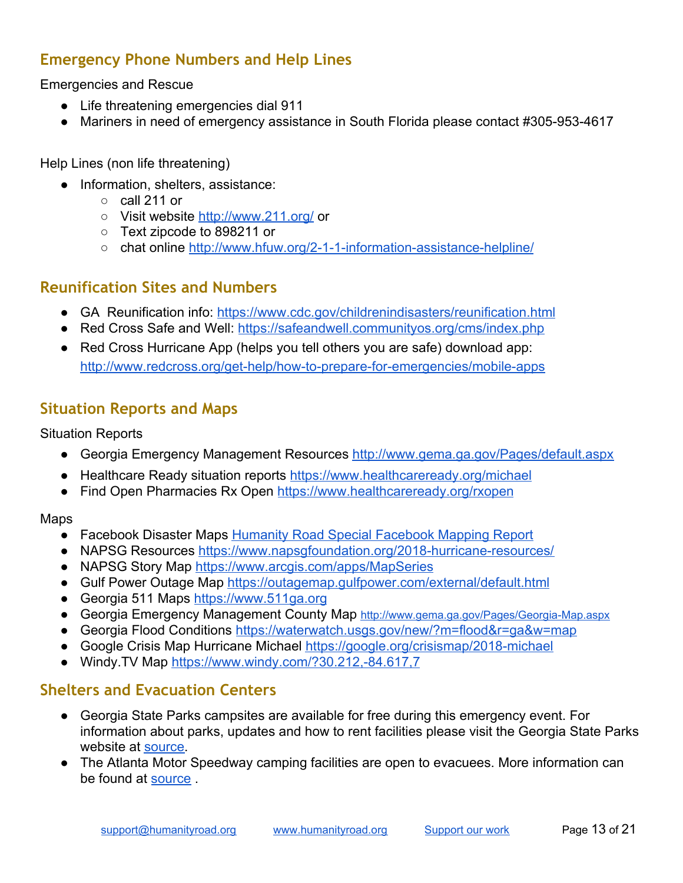### <span id="page-12-0"></span>**Emergency Phone Numbers and Help Lines**

Emergencies and Rescue

- Life threatening emergencies dial 911
- Mariners in need of emergency assistance in South Florida please contact #305-953-4617

Help Lines (non life threatening)

- Information, shelters, assistance:
	- $\circ$  call 211 or
	- Visit website <http://www.211.org/> or
	- Text zipcode to 898211 or
	- chat online <http://www.hfuw.org/2-1-1-information-assistance-helpline/>

### <span id="page-12-1"></span>**Reunification Sites and Numbers**

- GA Reunification info: <https://www.cdc.gov/childrenindisasters/reunification.html>
- Red Cross Safe and Well: <https://safeandwell.communityos.org/cms/index.php>
- Red Cross Hurricane App (helps you tell others you are safe) download app: <http://www.redcross.org/get-help/how-to-prepare-for-emergencies/mobile-apps>

### <span id="page-12-2"></span>**Situation Reports and Maps**

#### Situation Reports

- Georgia Emergency Management Resources<http://www.gema.ga.gov/Pages/default.aspx>
- Healthcare Ready situation reports <https://www.healthcareready.org/michael>
- Find Open Pharmacies Rx Open <https://www.healthcareready.org/rxopen>

Maps

- Facebook Disaster Maps [Humanity Road Special Facebook Mapping Report](https://docs.google.com/document/d/1HD0bACyFTN_c7Qn5dcl6Hn38d_zeE7ncoRSNZmfOlJM/edit#heading=h.nkhqf8lucal5)
- NAPSG Resources <https://www.napsgfoundation.org/2018-hurricane-resources/>
- NAPSG Story Map [https://www.arcgis.com/apps/MapSeries](https://www.arcgis.com/apps/MapSeries/index.html?appid=61952ebf539f4bf1941a9e24e0bc277b)
- Gulf Power Outage Map <https://outagemap.gulfpower.com/external/default.html>
- Georgia 511 Maps [https://www.511ga.org](https://www.511ga.org/)
- Georgia Emergency Management County Map <http://www.gema.ga.gov/Pages/Georgia-Map.aspx>
- Georgia Flood Conditions <https://waterwatch.usgs.gov/new/?m=flood&r=ga&w=map>
- Google Crisis Map Hurricane Michael <https://google.org/crisismap/2018-michael>
- Windy. TV Map <https://www.windy.com/?30.212,-84.617,7>

### <span id="page-12-3"></span>**Shelters and Evacuation Centers**

- Georgia State Parks campsites are available for free during this emergency event. For information about parks, updates and how to rent facilities please visit the Georgia State Parks website at [source.](https://gastateparks.org/alerts/Web%20Content)
- The Atlanta Motor Speedway camping facilities are open to evacuees. More information can be found at [source](http://www.atlantamotorspeedway.com/media/news/ams-opening-camping-facilities-hurricane-florence-evacuees.html/Web%20Content) .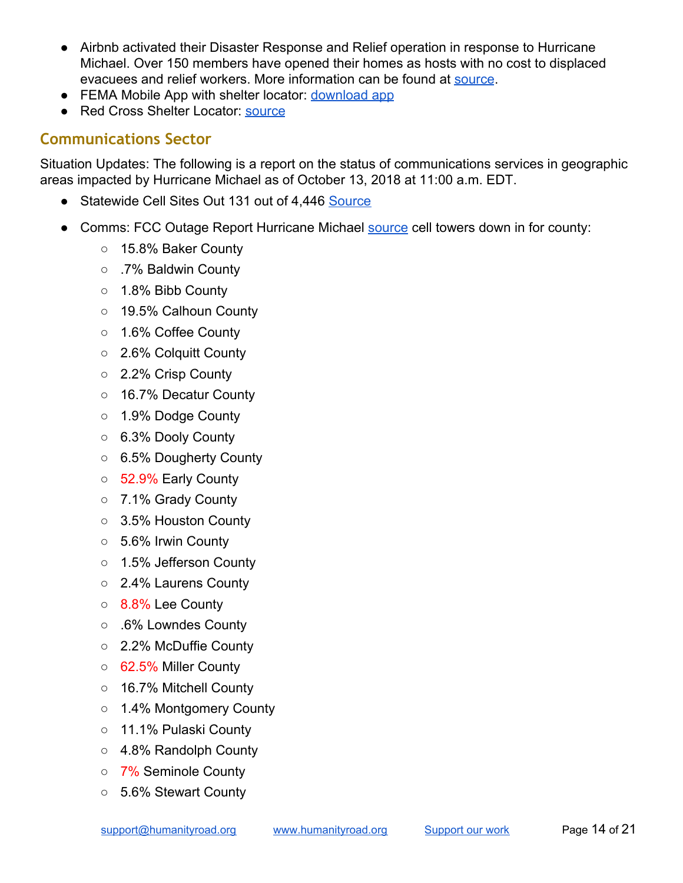- Airbnb activated their Disaster Response and Relief operation in response to Hurricane Michael. Over 150 members have opened their homes as hosts with no cost to displaced evacuees and relief workers. More information can be found at [source](https://www.airbnb.com/hurricanemichael).
- FEMA Mobile App with shelter locator: [download app](https://www.fema.gov/mobile-app)
- Red Cross Shelter Locator: [source](http://www.redcross.org/get-help/disaster-relief-and-recovery-services/find-an-open-shelter?utm_source=arctwitter&utm_medium=social&utm_campaign=harvey)

### <span id="page-13-0"></span>**Communications Sector**

Situation Updates: The following is a report on the status of communications services in geographic areas impacted by Hurricane Michael as of October 13, 2018 at 11:00 a.m. EDT.

- Statewide Cell Sites Out 131 out of 4,446 [Source](https://www.fcc.gov/document/hurricane-michael-communications-status-report-october-12-2018)
- Comms: FCC Outage Report Hurricane Michael [source](https://www.fcc.gov/document/hurricane-michael-communications-status-report-october-11-2018) cell towers down in for county:
	- 15.8% Baker County
	- .7% Baldwin County
	- 1.8% Bibb County
	- 19.5% Calhoun County
	- 1.6% Coffee County
	- 2.6% Colquitt County
	- 2.2% Crisp County
	- 16.7% Decatur County
	- 1.9% Dodge County
	- 6.3% Dooly County
	- 6.5% Dougherty County
	- 52.9% Early County
	- 7.1% Grady County
	- 3.5% Houston County
	- 5.6% Irwin County
	- 1.5% Jefferson County
	- 2.4% Laurens County
	- 8.8% Lee County
	- .6% Lowndes County
	- 2.2% McDuffie County
	- 62.5% Miller County
	- 16.7% Mitchell County
	- 1.4% Montgomery County
	- 11.1% Pulaski County
	- 4.8% Randolph County
	- 7% Seminole County
	- 5.6% Stewart County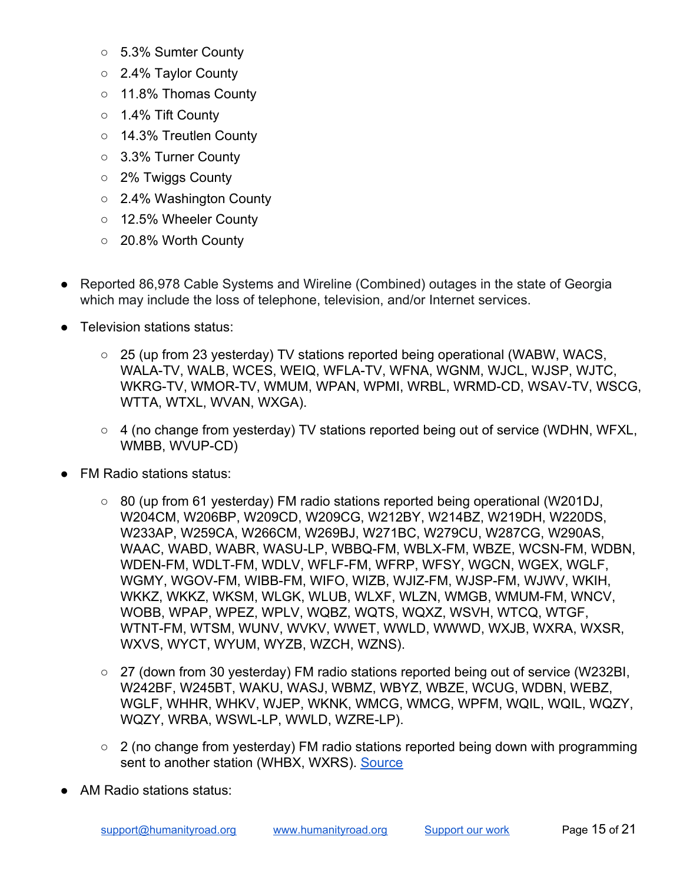- 5.3% Sumter County
- 2.4% Taylor County
- 11.8% Thomas County
- 1.4% Tift County
- 14.3% Treutlen County
- 3.3% Turner County
- 2% Twiggs County
- 2.4% Washington County
- 12.5% Wheeler County
- 20.8% Worth County
- Reported 86,978 Cable Systems and Wireline (Combined) outages in the state of Georgia which may include the loss of telephone, television, and/or Internet services.
- Television stations status:
	- 25 (up from 23 yesterday) TV stations reported being operational (WABW, WACS, WALA-TV, WALB, WCES, WEIQ, WFLA-TV, WFNA, WGNM, WJCL, WJSP, WJTC, WKRG-TV, WMOR-TV, WMUM, WPAN, WPMI, WRBL, WRMD-CD, WSAV-TV, WSCG, WTTA, WTXL, WVAN, WXGA).
	- 4 (no change from yesterday) TV stations reported being out of service (WDHN, WFXL, WMBB, WVUP-CD)
- **FM Radio stations status:** 
	- 80 (up from 61 yesterday) FM radio stations reported being operational (W201DJ, W204CM, W206BP, W209CD, W209CG, W212BY, W214BZ, W219DH, W220DS, W233AP, W259CA, W266CM, W269BJ, W271BC, W279CU, W287CG, W290AS, WAAC, WABD, WABR, WASU-LP, WBBQ-FM, WBLX-FM, WBZE, WCSN-FM, WDBN, WDEN-FM, WDLT-FM, WDLV, WFLF-FM, WFRP, WFSY, WGCN, WGEX, WGLF, WGMY, WGOV-FM, WIBB-FM, WIFO, WIZB, WJIZ-FM, WJSP-FM, WJWV, WKIH, WKKZ, WKKZ, WKSM, WLGK, WLUB, WLXF, WLZN, WMGB, WMUM-FM, WNCV, WOBB, WPAP, WPEZ, WPLV, WQBZ, WQTS, WQXZ, WSVH, WTCQ, WTGF, WTNT-FM, WTSM, WUNV, WVKV, WWET, WWLD, WWWD, WXJB, WXRA, WXSR, WXVS, WYCT, WYUM, WYZB, WZCH, WZNS).
	- $\circ$  27 (down from 30 yesterday) FM radio stations reported being out of service (W232BI, W242BF, W245BT, WAKU, WASJ, WBMZ, WBYZ, WBZE, WCUG, WDBN, WEBZ, WGLF, WHHR, WHKV, WJEP, WKNK, WMCG, WMCG, WPFM, WQIL, WQIL, WQZY, WQZY, WRBA, WSWL-LP, WWLD, WZRE-LP).
	- $\circ$  2 (no change from yesterday) FM radio stations reported being down with programming sent to another station (WHBX, WXRS). [Source](https://www.fcc.gov/document/hurricane-michael-communications-status-report-october-12-2018)
- AM Radio stations status: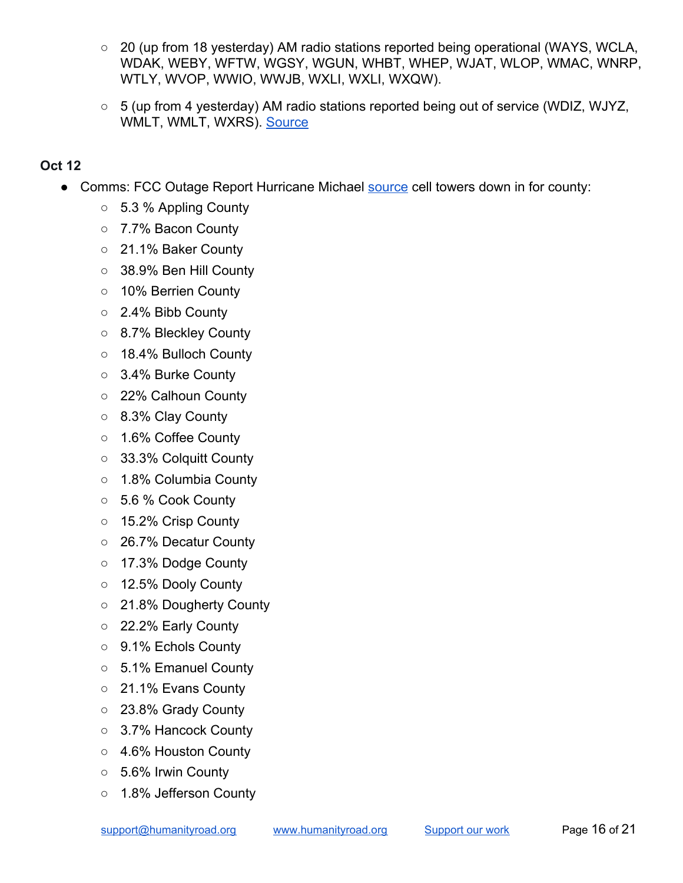- 20 (up from 18 yesterday) AM radio stations reported being operational (WAYS, WCLA, WDAK, WEBY, WFTW, WGSY, WGUN, WHBT, WHEP, WJAT, WLOP, WMAC, WNRP, WTLY, WVOP, WWIO, WWJB, WXLI, WXLI, WXQW).
- 5 (up from 4 yesterday) AM radio stations reported being out of service (WDIZ, WJYZ, WMLT, WMLT, WXRS). [Source](https://www.fcc.gov/document/hurricane-michael-communications-status-report-october-12-2018)

- Comms: FCC Outage Report Hurricane Michael **[source](https://www.fcc.gov/document/hurricane-michael-communications-status-report-october-11-2018)** cell towers down in for county:
	- 5.3 % Appling County
	- 7.7% Bacon County
	- 21.1% Baker County
	- 38.9% Ben Hill County
	- 10% Berrien County
	- 2.4% Bibb County
	- 8.7% Bleckley County
	- 18.4% Bulloch County
	- 3.4% Burke County
	- 22% Calhoun County
	- 8.3% Clay County
	- 1.6% Coffee County
	- 33.3% Colquitt County
	- 1.8% Columbia County
	- 5.6 % Cook County
	- 15.2% Crisp County
	- 26.7% Decatur County
	- 17.3% Dodge County
	- 12.5% Dooly County
	- 21.8% Dougherty County
	- 22.2% Early County
	- 9.1% Echols County
	- 5.1% Emanuel County
	- 21.1% Evans County
	- 23.8% Grady County
	- 3.7% Hancock County
	- 4.6% Houston County
	- 5.6% Irwin County
	- 1.8% Jefferson County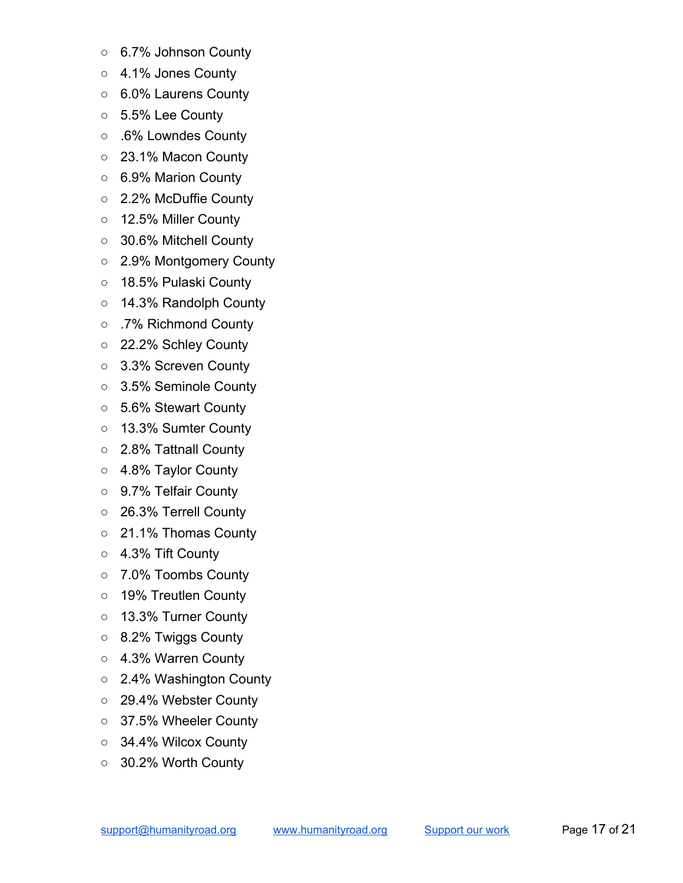- 6.7% Johnson County
- 4.1% Jones County
- 6.0% Laurens County
- 5.5% Lee County
- .6% Lowndes County
- 23.1% Macon County
- 6.9% Marion County
- 2.2% McDuffie County
- 12.5% Miller County
- 30.6% Mitchell County
- 2.9% Montgomery County
- 18.5% Pulaski County
- 14.3% Randolph County
- .7% Richmond County
- 22.2% Schley County
- 3.3% Screven County
- 3.5% Seminole County
- 5.6% Stewart County
- 13.3% Sumter County
- 2.8% Tattnall County
- 4.8% Taylor County
- 9.7% Telfair County
- 26.3% Terrell County
- 21.1% Thomas County
- 4.3% Tift County
- 7.0% Toombs County
- 19% Treutlen County
- 13.3% Turner County
- 8.2% Twiggs County
- 4.3% Warren County
- 2.4% Washington County
- 29.4% Webster County
- 37.5% Wheeler County
- 34.4% Wilcox County
- 30.2% Worth County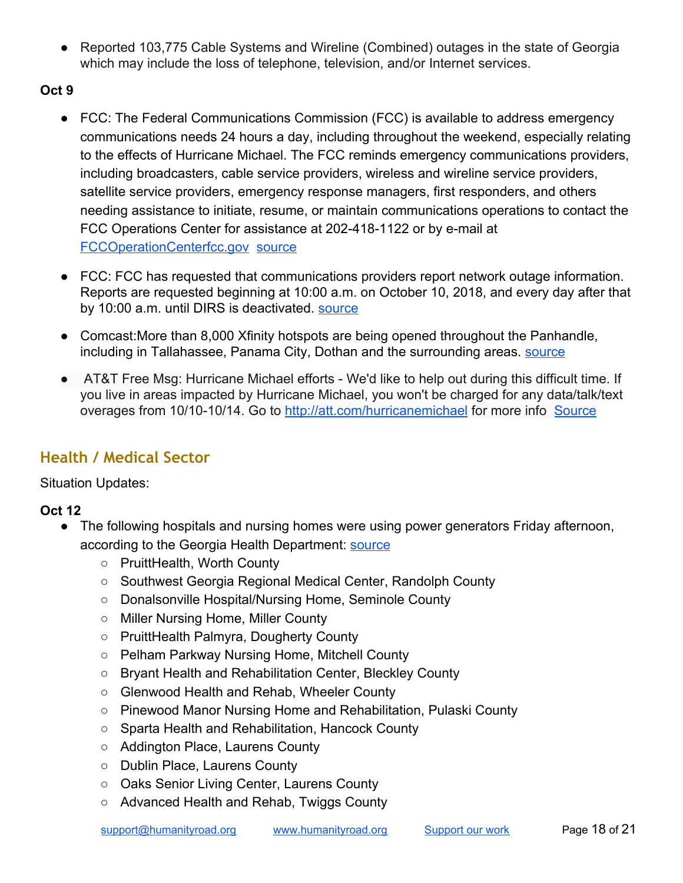● Reported 103,775 Cable Systems and Wireline (Combined) outages in the state of Georgia which may include the loss of telephone, television, and/or Internet services.

### **Oct 9**

- FCC: The Federal Communications Commission (FCC) is available to address emergency communications needs 24 hours a day, including throughout the weekend, especially relating to the effects of Hurricane Michael. The FCC reminds emergency communications providers, including broadcasters, cable service providers, wireless and wireline service providers, satellite service providers, emergency response managers, first responders, and others needing assistance to initiate, resume, or maintain communications operations to contact the FCC Operations Center for assistance at 202-418-1122 or by e-mail at [FCCOperationCenterfcc.gov](mailto:FCCOperationCenter@fcc.gov) [source](https://www.fcc.gov/document/fcc-assistance-hurricane-michael-emergencies-available-247)
- FCC: FCC has requested that communications providers report network outage information. Reports are requested beginning at 10:00 a.m. on October 10, 2018, and every day after that by 10:00 a.m. until DIRS is deactivated. [source](https://www.fcc.gov/document/fcc-activates-disaster-information-reporting-hurricane-michael)
- Comcast: More than 8,000 Xfinity hotspots are being opened throughout the Panhandle, including in Tallahassee, Panama City, Dothan and the surrounding areas. [source](https://www.tallahassee.com/story/news/2018/10/09/xfinity-opens-wifi-hotspots-non-customers-ahead-hurricane-michael/1578795002/)
- AT&T Free Msg: Hurricane Michael efforts We'd like to help out during this difficult time. If you live in areas impacted by Hurricane Michael, you won't be charged for any data/talk/text overages from 10/10-10/14. Go to <http://att.com/hurricanemichael> for more info [Source](https://twitter.com/WJHG_TV/status/1050501062858338304)

## <span id="page-17-0"></span>**Health / Medical Sector**

Situation Updates:

- The following hospitals and nursing homes were using power generators Friday afternoon, according to the Georgia Health Department: [source](https://www.ajc.com/weather/hurricanes/two-dozen-georgia-hospitals-nursing-homes-relying-backup-generators-deadly-storm-wake/bffOw6eUo80uvwUDwgUIUJ/)
	- PruittHealth, Worth County
	- Southwest Georgia Regional Medical Center, Randolph County
	- Donalsonville Hospital/Nursing Home, Seminole County
	- Miller Nursing Home, Miller County
	- PruittHealth Palmyra, Dougherty County
	- Pelham Parkway Nursing Home, Mitchell County
	- Bryant Health and Rehabilitation Center, Bleckley County
	- Glenwood Health and Rehab, Wheeler County
	- Pinewood Manor Nursing Home and Rehabilitation, Pulaski County
	- Sparta Health and Rehabilitation, Hancock County
	- Addington Place, Laurens County
	- Dublin Place, Laurens County
	- Oaks Senior Living Center, Laurens County
	- Advanced Health and Rehab, Twiggs County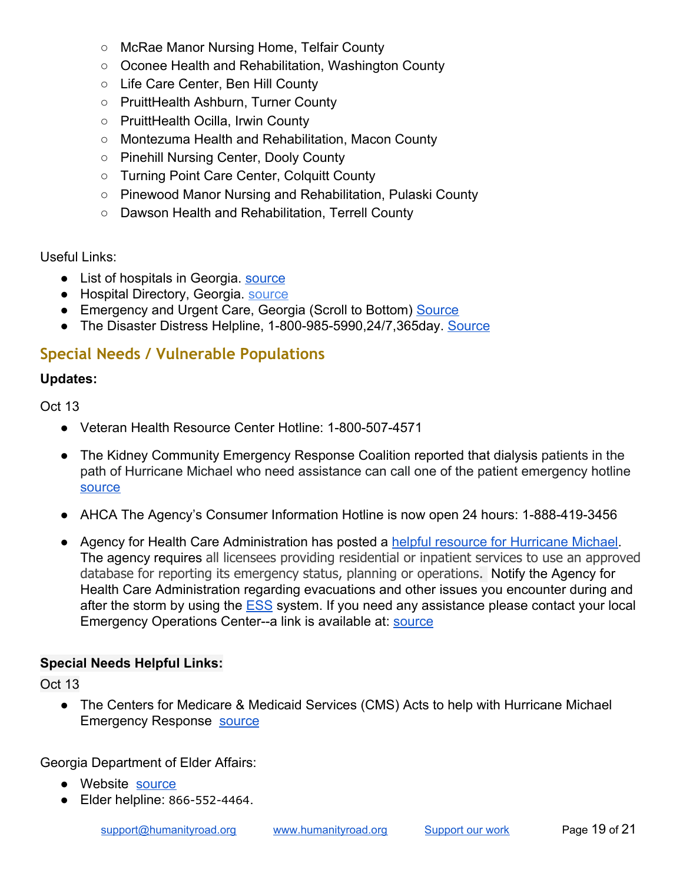- McRae Manor Nursing Home, Telfair County
- Oconee Health and Rehabilitation, Washington County
- Life Care Center, Ben Hill County
- PruittHealth Ashburn, Turner County
- PruittHealth Ocilla, Irwin County
- Montezuma Health and Rehabilitation, Macon County
- Pinehill Nursing Center, Dooly County
- Turning Point Care Center, Colquitt County
- Pinewood Manor Nursing and Rehabilitation, Pulaski County
- Dawson Health and Rehabilitation, Terrell County

Useful Links:

- List of hospitals in Georgia. [source](https://en.wikipedia.org/wiki/List_of_hospitals_in_Georgia_(U.S._state))
- Hospital Directory, Georgia. [source](https://www.ahd.com/states/hospital_GA.html)
- Emergency and Urgent Care, Georgia (Scroll to Bottom) [Source](https://www.urgentcarelocations.com/ga/georgia-urgent-care)
- The Disaster Distress Helpline, 1-800-985-5990,24/7,365day. [Source](https://www.samhsa.gov/find-help/disaster-distress-helpline)

### <span id="page-18-0"></span>**Special Needs / Vulnerable Populations**

#### **Updates:**

Oct 13

- Veteran Health Resource Center Hotline: 1-800-507-4571
- The Kidney Community Emergency Response Coalition reported that dialysis patients in the path of Hurricane Michael who need assistance can call one of the patient emergency hotline [source](https://twitter.com/KCERprogram/statuses/1050132634620301312)
- AHCA The Agency's Consumer Information Hotline is now open 24 hours: 1-888-419-3456
- Agency for Health Care Administration has posted a [helpful resource for Hurricane Michael](https://ahca.myflorida.com/MCHQ/Emergency_Activities/michael_2018.shtml). The agency requires all licensees providing residential or inpatient services to use an approved database for reporting its emergency status, planning or operations. Notify the Agency for Health Care Administration regarding evacuations and other issues you encounter during and after the storm by using the **[ESS](https://apps.ahca.myflorida.com/Ess/)** system. If you need any assistance please contact your local Emergency Operations Center--a link is available at: [source](https://www.floridadisaster.org/counties/)

#### **Special Needs Helpful Links:**

Oct 13

● The Centers for Medicare & Medicaid Services (CMS) Acts to help with Hurricane Michael Emergency Response [source](https://www.cms.gov/newsroom/press-releases/cms-acts-help-hurricane-michael-emergency-response)

Georgia Department of Elder Affairs:

- Website [source](https://aging.georgia.gov/)
- Elder helpline: 866-552-4464.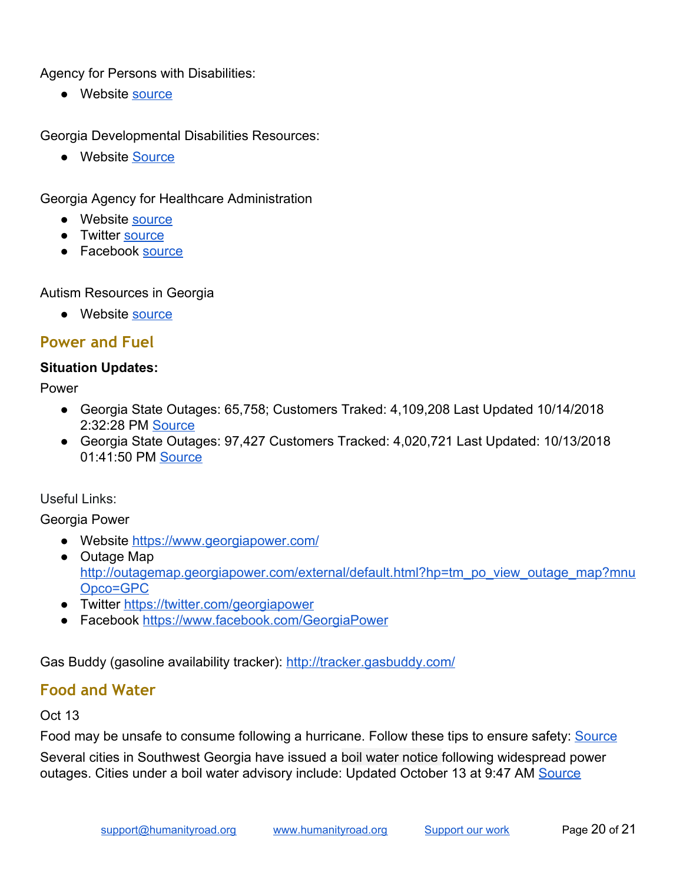Agency for Persons with Disabilities:

● Website [source](https://ada.georgia.gov/persons-disabilities)

Georgia Developmental Disabilities Resources:

● Website [Source](https://gcdd.org/faqs/developmental-disabilities-services-and-resources.html)

Georgia Agency for Healthcare Administration

- Website [source](https://dch.georgia.gov/healthcare-facility-regulation-0)
- Twitter [source](https://twitter.com/georgiacouncil)
- Facebook [source](https://www.facebook.com/georgiaddcouncil)

Autism Resources in Georgia

● Website [source](https://georgia.gov/blog/2015-04-17/georgias-resources-autism)

### <span id="page-19-0"></span>**Power and Fuel**

#### **Situation Updates:**

Power

- Georgia State Outages: 65,758; Customers Traked: 4,109,208 Last Updated 10/14/2018 2:32:28 PM [Source](https://poweroutage.us/area/State/georgia)
- Georgia State Outages: 97,427 Customers Tracked: 4,020,721 Last Updated: 10/13/2018 01:41:50 PM [Source](https://poweroutage.us/area/State/georgia)

Useful Links:

Georgia Power

- Website<https://www.georgiapower.com/>
- Outage Map [http://outagemap.georgiapower.com/external/default.html?hp=tm\\_po\\_view\\_outage\\_map?mnu](http://outagemap.georgiapower.com/external/default.html?hp=tm_po_view_outage_map?mnuOpco=GPC) [Opco=GPC](http://outagemap.georgiapower.com/external/default.html?hp=tm_po_view_outage_map?mnuOpco=GPC)
- Twitter [https://twitter.com/georgiapower](https://twitter.com/georgiapower?WT.svl=tw3&hp=rfy_twitter)
- Facebook [https://www.facebook.com/GeorgiaPower](https://www.facebook.com/GeorgiaPower?WT.svl=fb2&hp=rfy_facebook)

Gas Buddy (gasoline availability tracker):<http://tracker.gasbuddy.com/>

### <span id="page-19-1"></span>**Food and Water**

#### Oct 13

Food may be unsafe to consume following a hurricane. Follow these tips to ensure safety: [Source](https://www.fsis.usda.gov/wps/portal/fsis/topics/food-safety-education/get-answers/food-safety-fact-sheets/emergency-preparedness/a-consumers-guide-to-food-safety-severe-storms-and-hurricanes/ct_index)

Several cities in Southwest Georgia have issued a boil water notice following widespread power outages. Cities under a boil water advisory include: Updated October 13 at 9:47 AM [Source](https://www.walb.com/2018/10/11/albany-dawson-sasser-issue-boil-water-notice/)